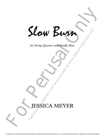Slow Burn String Quartet and Double Bas Slow Burn Slow Burn<br>For String Quartet and Double Bass<br>JESSICA MEYER

*for String Quartet and Double Bass*

## ESSICA MEYER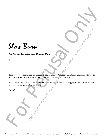## Slow Burn

*for String Quartet and Double Bass*

*4'*

SLOW Buyne<br>
for String Quartet and Double Bass<br>  $\psi$ <br>
This piece was permiced by sybatists at McTurdy1 Concart Rentre in Sarason, Hotida to<br>
accompany a dancer from the Block Diamond Burieque company.<br>
This piece was perm This piece was premiered by Sybarite5 at McCurdy's Comedy Theatre in Sarasota, Florida to accompany a dancer from the Black Diamond Burlesque company. ered by Sybarites at McCurdy's Comedy Theatre in Sarasota, Florida to<br>from the Black Diamond Burlesque company.<br>Now need to know in order to conjure up the appropriate amount of sass<br>play it effectively.

That's essentially all you need to know in order to conjure up the appropriate amount of sass<br>you need in order to play it effectively.<br>Enjoy! you need in order to play it effectively.

Enjoy!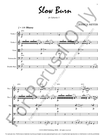Slow Burn

*for Sybarite 5*



©2018 JMM Publishing (BMI). All rights reserved.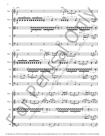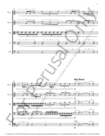

For perusal only. Performance materials must be purchased via www.jessicameyermusic.com. Unauthorized reproduction or distribution is strictly prohibited.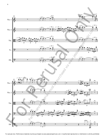

For perusal only. Performance materials must be purchased via www.jessicameyermusic.com. Unauthorized reproduction or distribution is strictly prohibited.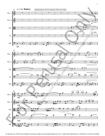

For perusal only. Performance materials must be purchased via www.jessicameyermusic.com. Unauthorized reproduction or distribution is strictly prohibited.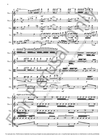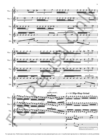

For perusal only. Performance materials must be purchased via www.jessicameyermusic.com. Unauthorized reproduction or distribution is strictly prohibited.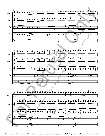



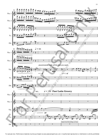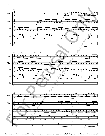